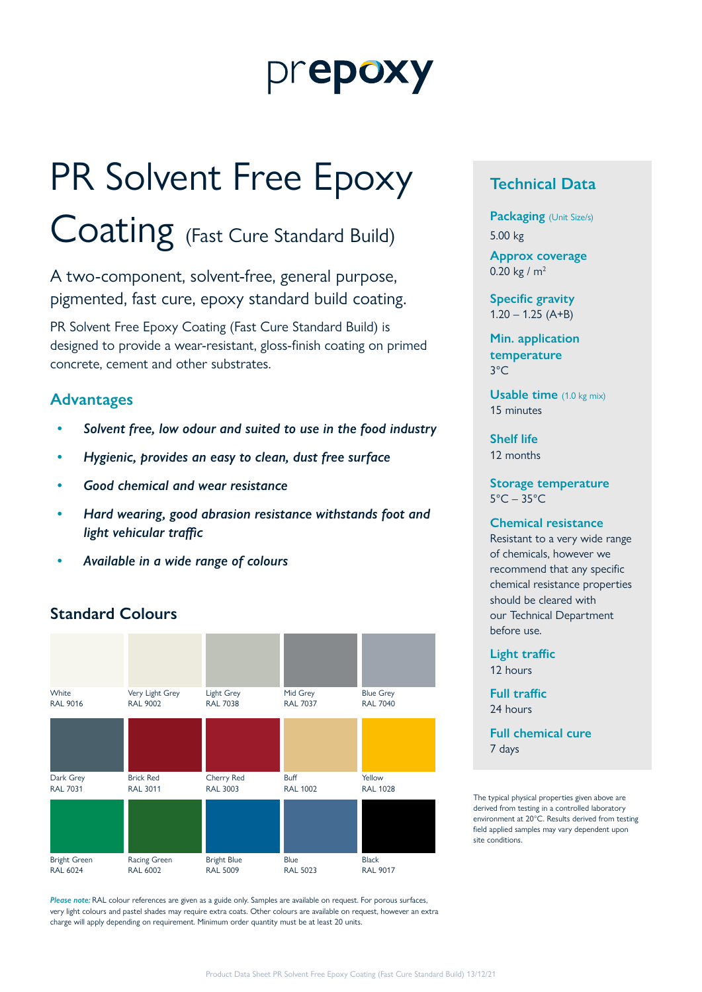# prepoxy

# PR Solvent Free Epoxy

Coating (Fast Cure Standard Build)

A two-component, solvent-free, general purpose, pigmented, fast cure, epoxy standard build coating.

PR Solvent Free Epoxy Coating (Fast Cure Standard Build) is designed to provide a wear-resistant, gloss-finish coating on primed concrete, cement and other substrates.

### **Advantages**

- *• Solvent free, low odour and suited to use in the food industry*
- *• Hygienic, provides an easy to clean, dust free surface*
- *• Good chemical and wear resistance*
- *• Hard wearing, good abrasion resistance withstands foot and light vehicular traffic*
- *• Available in a wide range of colours*

# **Standard Colours**



*Please note:* RAL colour references are given as a guide only. Samples are available on request. For porous surfaces, very light colours and pastel shades may require extra coats. Other colours are available on request, however an extra charge will apply depending on requirement. Minimum order quantity must be at least 20 units.

# **Technical Data**

**Packaging** (Unit Size/s) 5.00 kg

**Approx coverage** 0.20 kg /  $m^2$ 

**Specific gravity**  $1.20 - 1.25$  (A+B)

**Min. application temperature** 3°C

**Usable time** (1.0 kg mix) 15 minutes

**Shelf life** 12 months

**Storage temperature**  $5^{\circ}$ C – 35 $^{\circ}$ C

#### **Chemical resistance**

Resistant to a very wide range of chemicals, however we recommend that any specific chemical resistance properties should be cleared with our Technical Department before use.

**Light traffic** 12 hours

**Full traffic** 24 hours

**Full chemical cure** 7 days

The typical physical properties given above are derived from testing in a controlled laboratory environment at 20°C. Results derived from testing field applied samples may vary dependent upon site conditions.